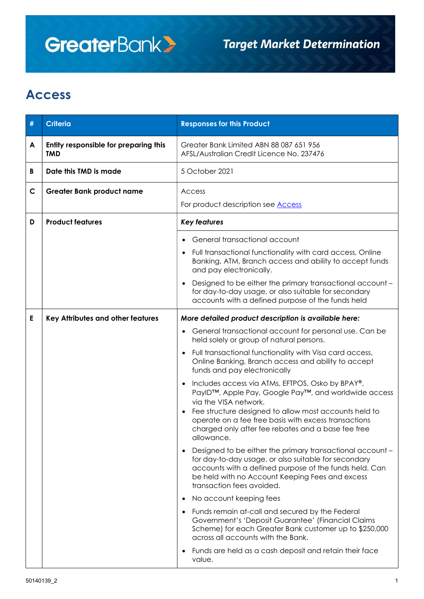## **GreaterBank>**

## Access

| #            | <b>Criteria</b>                                     | <b>Responses for this Product</b>                                                                                                                                                                                                                                                                                      |  |  |
|--------------|-----------------------------------------------------|------------------------------------------------------------------------------------------------------------------------------------------------------------------------------------------------------------------------------------------------------------------------------------------------------------------------|--|--|
| A            | Entity responsible for preparing this<br><b>TMD</b> | Greater Bank Limited ABN 88 087 651 956<br>AFSL/Australian Credit Licence No. 237476                                                                                                                                                                                                                                   |  |  |
| B            | Date this TMD is made                               | 5 October 2021                                                                                                                                                                                                                                                                                                         |  |  |
| $\mathsf{C}$ | <b>Greater Bank product name</b>                    | Access<br>For product description see <b>Access</b>                                                                                                                                                                                                                                                                    |  |  |
| D            | <b>Product features</b>                             | <b>Key features</b>                                                                                                                                                                                                                                                                                                    |  |  |
|              |                                                     | General transactional account<br>• Full transactional functionality with card access, Online<br>Banking, ATM, Branch access and ability to accept funds<br>and pay electronically.<br>Designed to be either the primary transactional account -<br>for day-to-day usage, or also suitable for secondary                |  |  |
| Е            | Key Attributes and other features                   | accounts with a defined purpose of the funds held<br>More detailed product description is available here:<br>General transactional account for personal use. Can be<br>held solely or group of natural persons.                                                                                                        |  |  |
|              |                                                     | Full transactional functionality with Visa card access,<br>$\bullet$<br>Online Banking, Branch access and ability to accept<br>funds and pay electronically                                                                                                                                                            |  |  |
|              |                                                     | Includes access via ATMs, EFTPOS, Osko by BPAY®,<br>PaylD™, Apple Pay, Google Pay™, and worldwide access<br>via the VISA network.<br>Fee structure designed to allow most accounts held to<br>operate on a fee free basis with excess transactions<br>charged only after fee rebates and a base fee free<br>allowance. |  |  |
|              |                                                     | Designed to be either the primary transactional account -<br>for day-to-day usage, or also suitable for secondary<br>accounts with a defined purpose of the funds held. Can<br>be held with no Account Keeping Fees and excess<br>transaction fees avoided.                                                            |  |  |
|              |                                                     | No account keeping fees                                                                                                                                                                                                                                                                                                |  |  |
|              |                                                     | • Funds remain at-call and secured by the Federal<br>Government's 'Deposit Guarantee' (Financial Claims<br>Scheme) for each Greater Bank customer up to \$250,000<br>across all accounts with the Bank.                                                                                                                |  |  |
|              |                                                     | Funds are held as a cash deposit and retain their face<br>value.                                                                                                                                                                                                                                                       |  |  |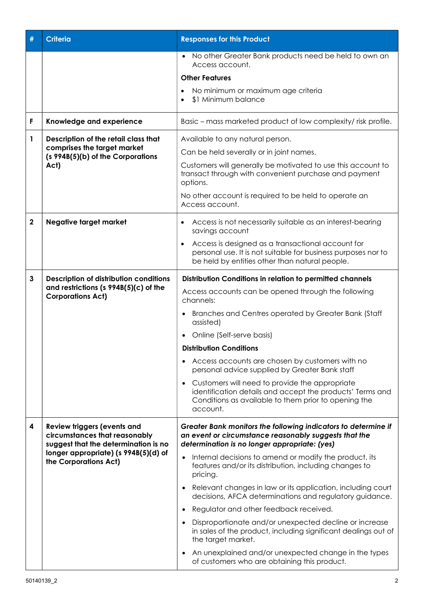| #           | <b>Criteria</b>                                                                                                                                                              | <b>Responses for this Product</b>                                                                                                                                                 |  |  |
|-------------|------------------------------------------------------------------------------------------------------------------------------------------------------------------------------|-----------------------------------------------------------------------------------------------------------------------------------------------------------------------------------|--|--|
|             |                                                                                                                                                                              | No other Greater Bank products need be held to own an<br>Access account.                                                                                                          |  |  |
|             |                                                                                                                                                                              | <b>Other Features</b>                                                                                                                                                             |  |  |
|             |                                                                                                                                                                              | No minimum or maximum age criteria<br>$\bullet$<br>\$1 Minimum balance                                                                                                            |  |  |
| F           | Knowledge and experience                                                                                                                                                     | Basic – mass marketed product of low complexity/ risk profile.                                                                                                                    |  |  |
| 1           | Description of the retail class that<br>comprises the target market<br>(s 994B(5)(b) of the Corporations<br>Act)                                                             | Available to any natural person.                                                                                                                                                  |  |  |
|             |                                                                                                                                                                              | Can be held severally or in joint names.                                                                                                                                          |  |  |
|             |                                                                                                                                                                              | Customers will generally be motivated to use this account to<br>transact through with convenient purchase and payment<br>options.                                                 |  |  |
|             |                                                                                                                                                                              | No other account is required to be held to operate an<br>Access account.                                                                                                          |  |  |
| $\mathbf 2$ | <b>Negative target market</b>                                                                                                                                                | Access is not necessarily suitable as an interest-bearing<br>$\bullet$<br>savings account                                                                                         |  |  |
|             |                                                                                                                                                                              | Access is designed as a transactional account for<br>$\bullet$<br>personal use. It is not suitable for business purposes nor to<br>be held by entities other than natural people. |  |  |
| 3           | <b>Description of distribution conditions</b><br>and restrictions (s $994B(5)(c)$ of the<br><b>Corporations Act)</b>                                                         | Distribution Conditions in relation to permitted channels                                                                                                                         |  |  |
|             |                                                                                                                                                                              | Access accounts can be opened through the following<br>channels:                                                                                                                  |  |  |
|             |                                                                                                                                                                              | Branches and Centres operated by Greater Bank (Staff<br>assisted)                                                                                                                 |  |  |
|             |                                                                                                                                                                              | Online (Self-serve basis)                                                                                                                                                         |  |  |
|             |                                                                                                                                                                              | <b>Distribution Conditions</b>                                                                                                                                                    |  |  |
|             |                                                                                                                                                                              | • Access accounts are chosen by customers with no<br>personal advice supplied by Greater Bank staff                                                                               |  |  |
|             |                                                                                                                                                                              | Customers will need to provide the appropriate<br>identification details and accept the products' Terms and<br>Conditions as available to them prior to opening the<br>account.   |  |  |
| 4           | <b>Review triggers (events and</b><br>circumstances that reasonably<br>suggest that the determination is no<br>longer appropriate) (s 994B(5)(d) of<br>the Corporations Act) | Greater Bank monitors the following indicators to determine if<br>an event or circumstance reasonably suggests that the<br>determination is no longer appropriate: (yes)          |  |  |
|             |                                                                                                                                                                              | Internal decisions to amend or modify the product, its<br>features and/or its distribution, including changes to<br>pricing.                                                      |  |  |
|             |                                                                                                                                                                              | Relevant changes in law or its application, including court<br>decisions, AFCA determinations and regulatory guidance.                                                            |  |  |
|             |                                                                                                                                                                              | Regulator and other feedback received.                                                                                                                                            |  |  |
|             |                                                                                                                                                                              | Disproportionate and/or unexpected decline or increase<br>in sales of the product, including significant dealings out of<br>the target market.                                    |  |  |
|             |                                                                                                                                                                              | An unexplained and/or unexpected change in the types<br>of customers who are obtaining this product.                                                                              |  |  |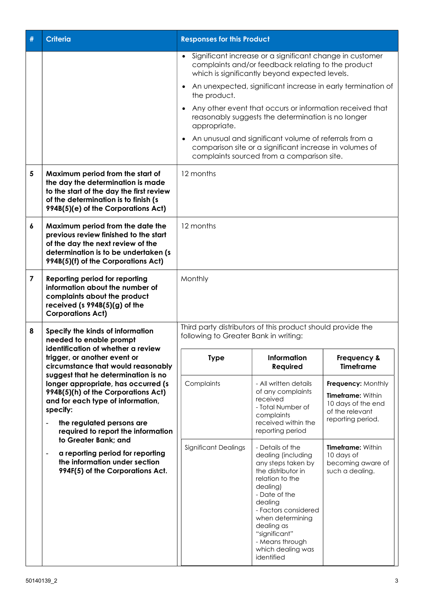| # | Criteria                                                                                                                                                                                                                                                                                                                                                                                                                                                   | <b>Responses for this Product</b>                                                                                                                                             |                                                                                                                                                                                                                                                                                |                                                                                                              |  |
|---|------------------------------------------------------------------------------------------------------------------------------------------------------------------------------------------------------------------------------------------------------------------------------------------------------------------------------------------------------------------------------------------------------------------------------------------------------------|-------------------------------------------------------------------------------------------------------------------------------------------------------------------------------|--------------------------------------------------------------------------------------------------------------------------------------------------------------------------------------------------------------------------------------------------------------------------------|--------------------------------------------------------------------------------------------------------------|--|
|   |                                                                                                                                                                                                                                                                                                                                                                                                                                                            | Significant increase or a significant change in customer<br>$\bullet$<br>complaints and/or feedback relating to the product<br>which is significantly beyond expected levels. |                                                                                                                                                                                                                                                                                |                                                                                                              |  |
|   |                                                                                                                                                                                                                                                                                                                                                                                                                                                            | An unexpected, significant increase in early termination of<br>$\bullet$<br>the product.                                                                                      |                                                                                                                                                                                                                                                                                |                                                                                                              |  |
|   |                                                                                                                                                                                                                                                                                                                                                                                                                                                            | Any other event that occurs or information received that<br>reasonably suggests the determination is no longer<br>appropriate.                                                |                                                                                                                                                                                                                                                                                |                                                                                                              |  |
|   |                                                                                                                                                                                                                                                                                                                                                                                                                                                            | An unusual and significant volume of referrals from a<br>comparison site or a significant increase in volumes of<br>complaints sourced from a comparison site.                |                                                                                                                                                                                                                                                                                |                                                                                                              |  |
| 5 | Maximum period from the start of<br>the day the determination is made<br>to the start of the day the first review<br>of the determination is to finish (s<br>994B(5)(e) of the Corporations Act)                                                                                                                                                                                                                                                           | 12 months                                                                                                                                                                     |                                                                                                                                                                                                                                                                                |                                                                                                              |  |
| 6 | Maximum period from the date the<br>previous review finished to the start<br>of the day the next review of the<br>determination is to be undertaken (s<br>994B(5)(f) of the Corporations Act)                                                                                                                                                                                                                                                              | 12 months                                                                                                                                                                     |                                                                                                                                                                                                                                                                                |                                                                                                              |  |
| 7 | <b>Reporting period for reporting</b><br>information about the number of<br>complaints about the product<br>received ( $s$ 994B $(5)(g)$ of the<br><b>Corporations Act)</b>                                                                                                                                                                                                                                                                                | Monthly                                                                                                                                                                       |                                                                                                                                                                                                                                                                                |                                                                                                              |  |
| 8 | Specify the kinds of information<br>needed to enable prompt<br>identification of whether a review<br>trigger, or another event or<br>circumstance that would reasonably<br>suggest that he determination is no<br>longer appropriate, has occurred (s<br>994B(5)(h) of the Corporations Act)<br>and for each type of information,<br>specify:<br>the regulated persons are<br>$\blacksquare$<br>required to report the information<br>to Greater Bank; and | Third party distributors of this product should provide the<br>following to Greater Bank in writing:                                                                          |                                                                                                                                                                                                                                                                                |                                                                                                              |  |
|   |                                                                                                                                                                                                                                                                                                                                                                                                                                                            | <b>Type</b>                                                                                                                                                                   | <b>Information</b><br>Required                                                                                                                                                                                                                                                 | Frequency &<br><b>Timeframe</b>                                                                              |  |
|   |                                                                                                                                                                                                                                                                                                                                                                                                                                                            | Complaints                                                                                                                                                                    | - All written details<br>of any complaints<br>received<br>- Total Number of<br>complaints<br>received within the                                                                                                                                                               | Frequency: Monthly<br><b>Timeframe: Within</b><br>10 days of the end<br>of the relevant<br>reporting period. |  |
|   |                                                                                                                                                                                                                                                                                                                                                                                                                                                            |                                                                                                                                                                               | reporting period                                                                                                                                                                                                                                                               |                                                                                                              |  |
|   | a reporting period for reporting<br>$\overline{\phantom{0}}$<br>the information under section<br>994F(5) of the Corporations Act.                                                                                                                                                                                                                                                                                                                          | Significant Dealings                                                                                                                                                          | - Details of the<br>dealing (including<br>any steps taken by<br>the distributor in<br>relation to the<br>dealing)<br>- Date of the<br>dealing<br>- Factors considered<br>when determining<br>dealing as<br>"significant"<br>- Means through<br>which dealing was<br>identified | <b>Timeframe: Within</b><br>10 days of<br>becoming aware of<br>such a dealing.                               |  |